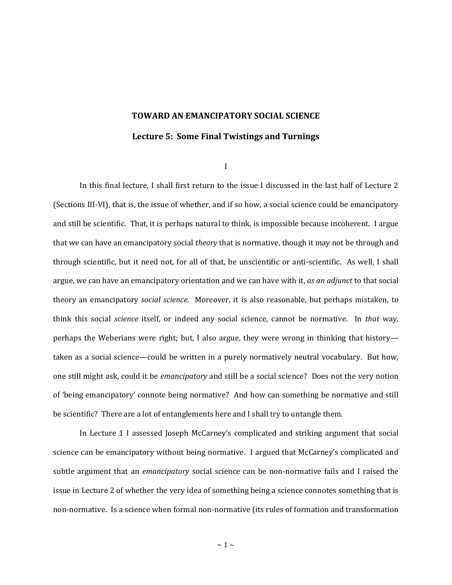# **TOWARD AN EMANCIPATORY SOCIAL SCIENCE**

# **Lecture 5: Some Final Twistings and Turnings**

I

In this final lecture, I shall first return to the issue I discussed in the last half of Lecture 2 (Sections III-VI), that is, the issue of whether, and if so how, a social science could be emancipatory and still be scientific. That, it is perhaps natural to think, is impossible because incoherent. I argue that we can have an emancipatory social *theory* that is normative, though it may not be through and through scientific, but it need not, for all of that, be unscientific or anti-scientific. As well, I shall argue, we can have an emancipatory orientation and we can have with it, *as an adjunct* to that social theory an emancipatory *social science*. Moreover, it is also reasonable, but perhaps mistaken, to think this social *science* itself, or indeed any social science, cannot be normative. In *that* way, perhaps the Weberians were right; but, I also argue, they were wrong in thinking that history taken as a social science—could be written in a purely normatively neutral vocabulary. But how, one still might ask, could it be *emancipatory* and still be a social science? Does not the very notion of 'being emancipatory' connote being normative? And how can something be normative and still be scientific? There are a lot of entanglements here and I shall try to untangle them.

In Lecture 1 I assessed Joseph McCarney's complicated and striking argument that social science can be emancipatory without being normative. I argued that McCarney's complicated and subtle argument that an *emancipatory* social science can be non-normative fails and I raised the issue in Lecture 2 of whether the very idea of something being a science connotes something that is non-normative. Is a science when formal non-normative (its rules of formation and transformation

 $\sim$  1  $\sim$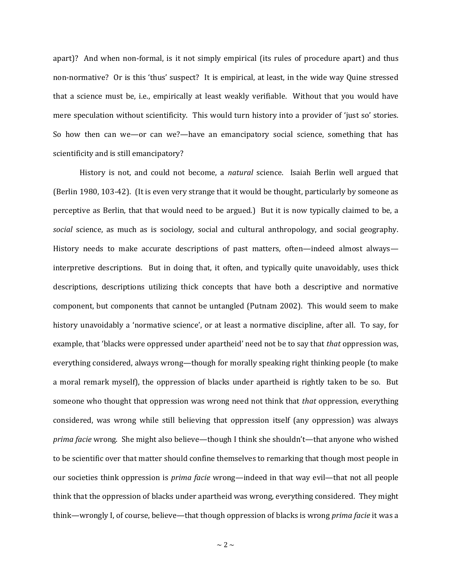apart)? And when non-formal, is it not simply empirical (its rules of procedure apart) and thus non-normative? Or is this 'thus' suspect? It is empirical, at least, in the wide way Quine stressed that a science must be, i.e., empirically at least weakly verifiable. Without that you would have mere speculation without scientificity. This would turn history into a provider of 'just so' stories. So how then can we—or can we?—have an emancipatory social science, something that has scientificity and is still emancipatory?

History is not, and could not become, a *natural* science. Isaiah Berlin well argued that (Berlin 1980, 103-42). (It is even very strange that it would be thought, particularly by someone as perceptive as Berlin, that that would need to be argued.) But it is now typically claimed to be, a *social* science, as much as is sociology, social and cultural anthropology, and social geography. History needs to make accurate descriptions of past matters, often—indeed almost always interpretive descriptions. But in doing that, it often, and typically quite unavoidably, uses thick descriptions, descriptions utilizing thick concepts that have both a descriptive and normative component, but components that cannot be untangled (Putnam 2002). This would seem to make history unavoidably a 'normative science', or at least a normative discipline, after all. To say, for example, that 'blacks were oppressed under apartheid' need not be to say that *that* oppression was, everything considered, always wrong—though for morally speaking right thinking people (to make a moral remark myself), the oppression of blacks under apartheid is rightly taken to be so. But someone who thought that oppression was wrong need not think that *that* oppression, everything considered, was wrong while still believing that oppression itself (any oppression) was always *prima facie* wrong. She might also believe—though I think she shouldn't—that anyone who wished to be scientific over that matter should confine themselves to remarking that though most people in our societies think oppression is *prima facie* wrong—indeed in that way evil—that not all people think that the oppression of blacks under apartheid was wrong, everything considered. They might think—wrongly I, of course, believe—that though oppression of blacks is wrong *prima facie* it was a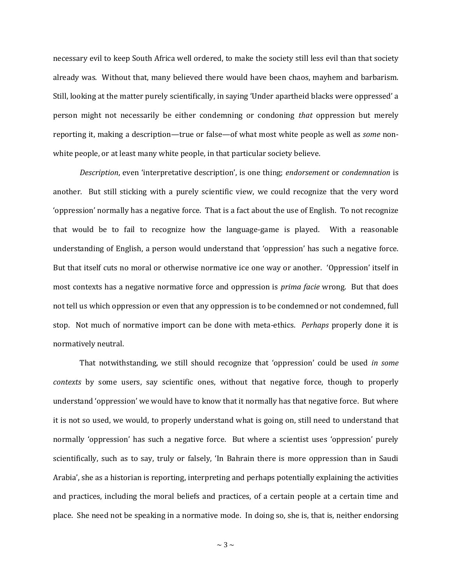necessary evil to keep South Africa well ordered, to make the society still less evil than that society already was. Without that, many believed there would have been chaos, mayhem and barbarism. Still, looking at the matter purely scientifically, in saying 'Under apartheid blacks were oppressed' a person might not necessarily be either condemning or condoning *that* oppression but merely reporting it, making a description—true or false—of what most white people as well as *some* nonwhite people, or at least many white people, in that particular society believe.

*Description*, even 'interpretative description', is one thing; *endorsement* or *condemnation* is another. But still sticking with a purely scientific view, we could recognize that the very word 'oppression' normally has a negative force. That is a fact about the use of English. To not recognize that would be to fail to recognize how the language-game is played. With a reasonable understanding of English, a person would understand that 'oppression' has such a negative force. But that itself cuts no moral or otherwise normative ice one way or another. 'Oppression' itself in most contexts has a negative normative force and oppression is *prima facie* wrong. But that does not tell us which oppression or even that any oppression is to be condemned or not condemned, full stop. Not much of normative import can be done with meta-ethics. *Perhaps* properly done it is normatively neutral.

That notwithstanding, we still should recognize that 'oppression' could be used *in some contexts* by some users, say scientific ones, without that negative force, though to properly understand 'oppression' we would have to know that it normally has that negative force. But where it is not so used, we would, to properly understand what is going on, still need to understand that normally 'oppression' has such a negative force. But where a scientist uses 'oppression' purely scientifically, such as to say, truly or falsely, 'In Bahrain there is more oppression than in Saudi Arabia', she as a historian is reporting, interpreting and perhaps potentially explaining the activities and practices, including the moral beliefs and practices, of a certain people at a certain time and place. She need not be speaking in a normative mode. In doing so, she is, that is, neither endorsing

 $\sim$  3  $\sim$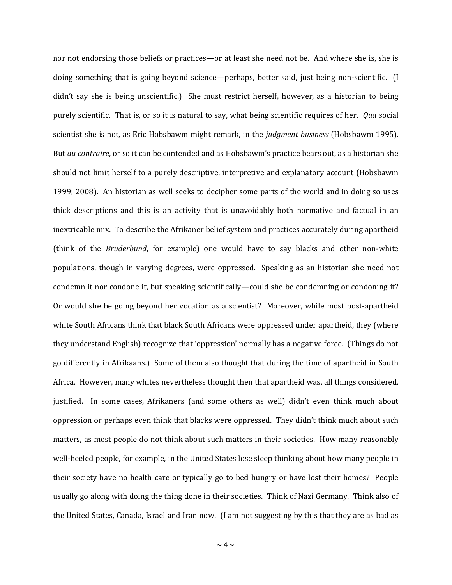nor not endorsing those beliefs or practices—or at least she need not be. And where she is, she is doing something that is going beyond science—perhaps, better said, just being non-scientific. (I didn't say she is being unscientific.) She must restrict herself, however, as a historian to being purely scientific. That is, or so it is natural to say, what being scientific requires of her. *Qua* social scientist she is not, as Eric Hobsbawm might remark, in the *judgment business* (Hobsbawm 1995). But *au contraire*, or so it can be contended and as Hobsbawm's practice bears out, as a historian she should not limit herself to a purely descriptive, interpretive and explanatory account (Hobsbawm 1999; 2008). An historian as well seeks to decipher some parts of the world and in doing so uses thick descriptions and this is an activity that is unavoidably both normative and factual in an inextricable mix. To describe the Afrikaner belief system and practices accurately during apartheid (think of the *Bruderbund*, for example) one would have to say blacks and other non-white populations, though in varying degrees, were oppressed. Speaking as an historian she need not condemn it nor condone it, but speaking scientifically—could she be condemning or condoning it? Or would she be going beyond her vocation as a scientist? Moreover, while most post-apartheid white South Africans think that black South Africans were oppressed under apartheid, they (where they understand English) recognize that 'oppression' normally has a negative force. (Things do not go differently in Afrikaans.) Some of them also thought that during the time of apartheid in South Africa. However, many whites nevertheless thought then that apartheid was, all things considered, justified. In some cases, Afrikaners (and some others as well) didn't even think much about oppression or perhaps even think that blacks were oppressed. They didn't think much about such matters, as most people do not think about such matters in their societies. How many reasonably well-heeled people, for example, in the United States lose sleep thinking about how many people in their society have no health care or typically go to bed hungry or have lost their homes? People usually go along with doing the thing done in their societies. Think of Nazi Germany. Think also of the United States, Canada, Israel and Iran now. (I am not suggesting by this that they are as bad as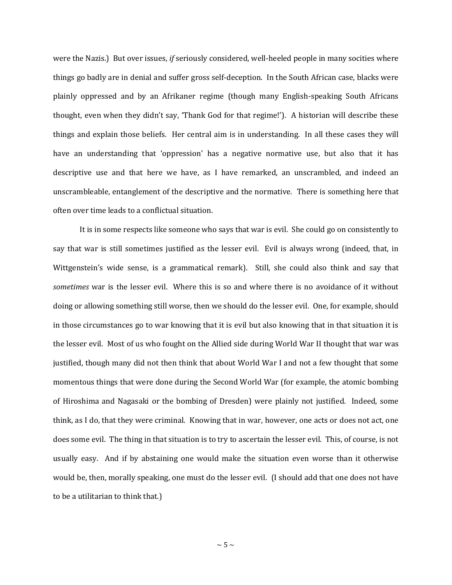were the Nazis.) But over issues, *if* seriously considered, well-heeled people in many socities where things go badly are in denial and suffer gross self-deception. In the South African case, blacks were plainly oppressed and by an Afrikaner regime (though many English-speaking South Africans thought, even when they didn't say, 'Thank God for that regime!'). A historian will describe these things and explain those beliefs. Her central aim is in understanding. In all these cases they will have an understanding that 'oppression' has a negative normative use, but also that it has descriptive use and that here we have, as I have remarked, an unscrambled, and indeed an unscrambleable, entanglement of the descriptive and the normative. There is something here that often over time leads to a conflictual situation.

It is in some respects like someone who says that war is evil. She could go on consistently to say that war is still sometimes justified as the lesser evil. Evil is always wrong (indeed, that, in Wittgenstein's wide sense, is a grammatical remark). Still, she could also think and say that *sometimes* war is the lesser evil. Where this is so and where there is no avoidance of it without doing or allowing something still worse, then we should do the lesser evil. One, for example, should in those circumstances go to war knowing that it is evil but also knowing that in that situation it is the lesser evil. Most of us who fought on the Allied side during World War II thought that war was justified, though many did not then think that about World War I and not a few thought that some momentous things that were done during the Second World War (for example, the atomic bombing of Hiroshima and Nagasaki or the bombing of Dresden) were plainly not justified. Indeed, some think, as I do, that they were criminal. Knowing that in war, however, one acts or does not act, one does some evil. The thing in that situation is to try to ascertain the lesser evil. This, of course, is not usually easy. And if by abstaining one would make the situation even worse than it otherwise would be, then, morally speaking, one must do the lesser evil. (I should add that one does not have to be a utilitarian to think that.)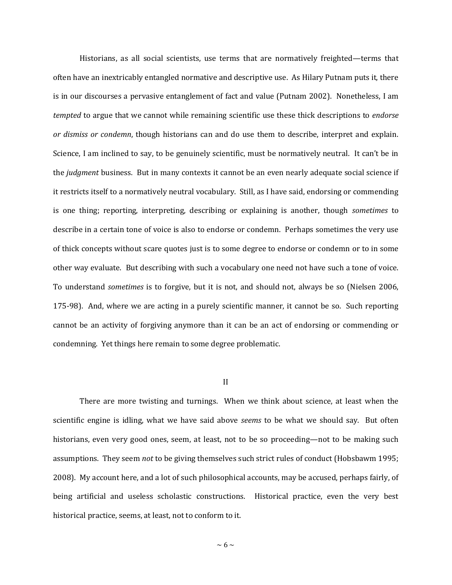Historians, as all social scientists, use terms that are normatively freighted—terms that often have an inextricably entangled normative and descriptive use. As Hilary Putnam puts it, there is in our discourses a pervasive entanglement of fact and value (Putnam 2002). Nonetheless, I am *tempted* to argue that we cannot while remaining scientific use these thick descriptions to *endorse or dismiss or condemn*, though historians can and do use them to describe, interpret and explain. Science, I am inclined to say, to be genuinely scientific, must be normatively neutral. It can't be in the *judgment* business. But in many contexts it cannot be an even nearly adequate social science if it restricts itself to a normatively neutral vocabulary. Still, as I have said, endorsing or commending is one thing; reporting, interpreting, describing or explaining is another, though *sometimes* to describe in a certain tone of voice is also to endorse or condemn. Perhaps sometimes the very use of thick concepts without scare quotes just is to some degree to endorse or condemn or to in some other way evaluate. But describing with such a vocabulary one need not have such a tone of voice. To understand *sometimes* is to forgive, but it is not, and should not, always be so (Nielsen 2006, 175-98). And, where we are acting in a purely scientific manner, it cannot be so. Such reporting cannot be an activity of forgiving anymore than it can be an act of endorsing or commending or condemning. Yet things here remain to some degree problematic.

## II

There are more twisting and turnings. When we think about science, at least when the scientific engine is idling, what we have said above *seems* to be what we should say. But often historians, even very good ones, seem, at least, not to be so proceeding—not to be making such assumptions. They seem *not* to be giving themselves such strict rules of conduct (Hobsbawm 1995; 2008). My account here, and a lot of such philosophical accounts, may be accused, perhaps fairly, of being artificial and useless scholastic constructions. Historical practice, even the very best historical practice, seems, at least, not to conform to it.

 $\sim 6 \sim$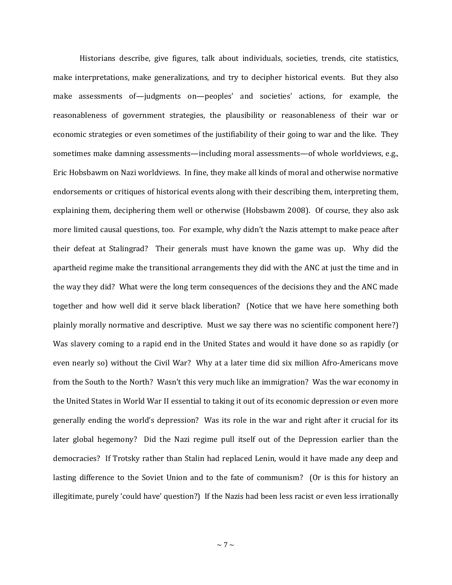Historians describe, give figures, talk about individuals, societies, trends, cite statistics, make interpretations, make generalizations, and try to decipher historical events. But they also make assessments of—judgments on—peoples' and societies' actions, for example, the reasonableness of government strategies, the plausibility or reasonableness of their war or economic strategies or even sometimes of the justifiability of their going to war and the like. They sometimes make damning assessments—including moral assessments—of whole worldviews, e.g., Eric Hobsbawm on Nazi worldviews. In fine, they make all kinds of moral and otherwise normative endorsements or critiques of historical events along with their describing them, interpreting them, explaining them, deciphering them well or otherwise (Hobsbawm 2008). Of course, they also ask more limited causal questions, too. For example, why didn't the Nazis attempt to make peace after their defeat at Stalingrad? Their generals must have known the game was up. Why did the apartheid regime make the transitional arrangements they did with the ANC at just the time and in the way they did? What were the long term consequences of the decisions they and the ANC made together and how well did it serve black liberation? (Notice that we have here something both plainly morally normative and descriptive. Must we say there was no scientific component here?) Was slavery coming to a rapid end in the United States and would it have done so as rapidly (or even nearly so) without the Civil War? Why at a later time did six million Afro-Americans move from the South to the North? Wasn't this very much like an immigration? Was the war economy in the United States in World War II essential to taking it out of its economic depression or even more generally ending the world's depression? Was its role in the war and right after it crucial for its later global hegemony? Did the Nazi regime pull itself out of the Depression earlier than the democracies? If Trotsky rather than Stalin had replaced Lenin, would it have made any deep and lasting difference to the Soviet Union and to the fate of communism? (Or is this for history an illegitimate, purely 'could have' question?) If the Nazis had been less racist or even less irrationally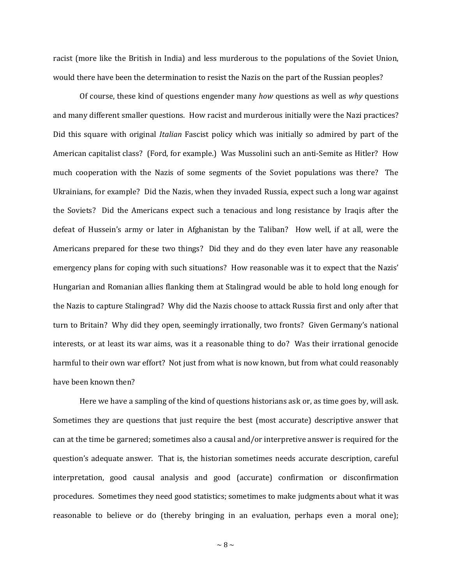racist (more like the British in India) and less murderous to the populations of the Soviet Union, would there have been the determination to resist the Nazis on the part of the Russian peoples?

Of course, these kind of questions engender many *how* questions as well as *why* questions and many different smaller questions. How racist and murderous initially were the Nazi practices? Did this square with original *Italian* Fascist policy which was initially so admired by part of the American capitalist class? (Ford, for example.) Was Mussolini such an anti-Semite as Hitler? How much cooperation with the Nazis of some segments of the Soviet populations was there? The Ukrainians, for example? Did the Nazis, when they invaded Russia, expect such a long war against the Soviets? Did the Americans expect such a tenacious and long resistance by Iraqis after the defeat of Hussein's army or later in Afghanistan by the Taliban? How well, if at all, were the Americans prepared for these two things? Did they and do they even later have any reasonable emergency plans for coping with such situations? How reasonable was it to expect that the Nazis' Hungarian and Romanian allies flanking them at Stalingrad would be able to hold long enough for the Nazis to capture Stalingrad? Why did the Nazis choose to attack Russia first and only after that turn to Britain? Why did they open, seemingly irrationally, two fronts? Given Germany's national interests, or at least its war aims, was it a reasonable thing to do? Was their irrational genocide harmful to their own war effort? Not just from what is now known, but from what could reasonably have been known then?

Here we have a sampling of the kind of questions historians ask or, as time goes by, will ask. Sometimes they are questions that just require the best (most accurate) descriptive answer that can at the time be garnered; sometimes also a causal and/or interpretive answer is required for the question's adequate answer. That is, the historian sometimes needs accurate description, careful interpretation, good causal analysis and good (accurate) confirmation or disconfirmation procedures. Sometimes they need good statistics; sometimes to make judgments about what it was reasonable to believe or do (thereby bringing in an evaluation, perhaps even a moral one);

 $\sim$  8  $\sim$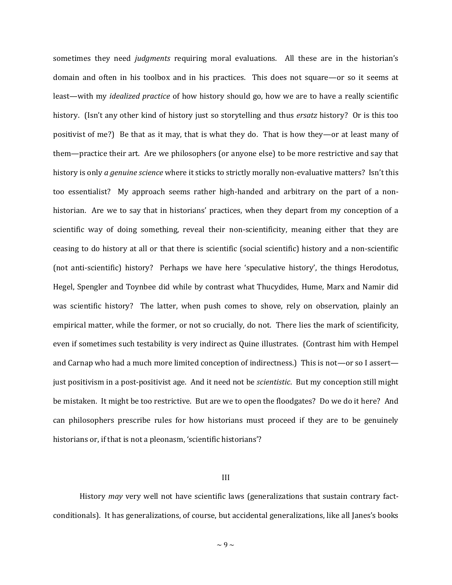sometimes they need *judgments* requiring moral evaluations. All these are in the historian's domain and often in his toolbox and in his practices. This does not square—or so it seems at least—with my *idealized practice* of how history should go, how we are to have a really scientific history. (Isn't any other kind of history just so storytelling and thus *ersatz* history? Or is this too positivist of me?) Be that as it may, that is what they do. That is how they—or at least many of them—practice their art. Are we philosophers (or anyone else) to be more restrictive and say that history is only *a genuine science* where it sticks to strictly morally non-evaluative matters? Isn't this too essentialist? My approach seems rather high-handed and arbitrary on the part of a nonhistorian. Are we to say that in historians' practices, when they depart from my conception of a scientific way of doing something, reveal their non-scientificity, meaning either that they are ceasing to do history at all or that there is scientific (social scientific) history and a non-scientific (not anti-scientific) history? Perhaps we have here 'speculative history', the things Herodotus, Hegel, Spengler and Toynbee did while by contrast what Thucydides, Hume, Marx and Namir did was scientific history? The latter, when push comes to shove, rely on observation, plainly an empirical matter, while the former, or not so crucially, do not. There lies the mark of scientificity, even if sometimes such testability is very indirect as Quine illustrates. (Contrast him with Hempel and Carnap who had a much more limited conception of indirectness.) This is not—or so I assert just positivism in a post-positivist age. And it need not be *scientistic*. But my conception still might be mistaken. It might be too restrictive. But are we to open the floodgates? Do we do it here? And can philosophers prescribe rules for how historians must proceed if they are to be genuinely historians or, if that is not a pleonasm, 'scientific historians'?

### III

History *may* very well not have scientific laws (generalizations that sustain contrary factconditionals). It has generalizations, of course, but accidental generalizations, like all Janes's books

 $\sim$  9  $\sim$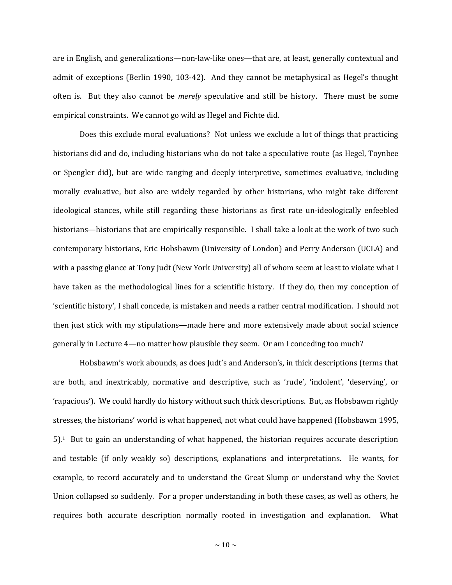are in English, and generalizations—non-law-like ones—that are, at least, generally contextual and admit of exceptions (Berlin 1990, 103-42). And they cannot be metaphysical as Hegel's thought often is. But they also cannot be *merely* speculative and still be history. There must be some empirical constraints. We cannot go wild as Hegel and Fichte did.

Does this exclude moral evaluations? Not unless we exclude a lot of things that practicing historians did and do, including historians who do not take a speculative route (as Hegel, Toynbee or Spengler did), but are wide ranging and deeply interpretive, sometimes evaluative, including morally evaluative, but also are widely regarded by other historians, who might take different ideological stances, while still regarding these historians as first rate un-ideologically enfeebled historians—historians that are empirically responsible. I shall take a look at the work of two such contemporary historians, Eric Hobsbawm (University of London) and Perry Anderson (UCLA) and with a passing glance at Tony Judt (New York University) all of whom seem at least to violate what I have taken as the methodological lines for a scientific history. If they do, then my conception of 'scientific history', I shall concede, is mistaken and needs a rather central modification. I should not then just stick with my stipulations—made here and more extensively made about social science generally in Lecture 4—no matter how plausible they seem. Or am I conceding too much?

Hobsbawm's work abounds, as does Judt's and Anderson's, in thick descriptions (terms that are both, and inextricably, normative and descriptive, such as 'rude', 'indolent', 'deserving', or 'rapacious'). We could hardly do history without such thick descriptions. But, as Hobsbawm rightly stresses, the historians' world is what happened, not what could have happened (Hobsbawm 1995, 5). <sup>1</sup> But to gain an understanding of what happened, the historian requires accurate description and testable (if only weakly so) descriptions, explanations and interpretations. He wants, for example, to record accurately and to understand the Great Slump or understand why the Soviet Union collapsed so suddenly. For a proper understanding in both these cases, as well as others, he requires both accurate description normally rooted in investigation and explanation. What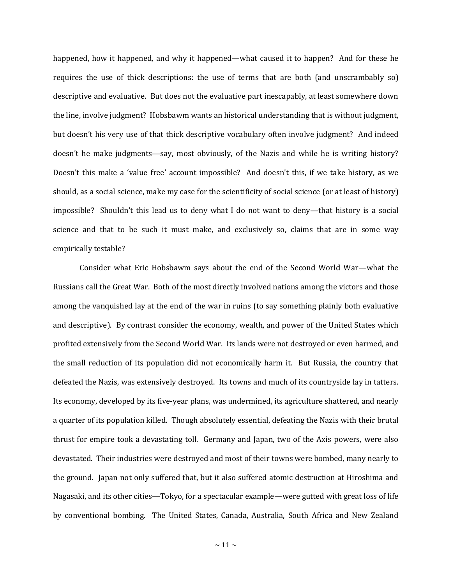happened, how it happened, and why it happened—what caused it to happen? And for these he requires the use of thick descriptions: the use of terms that are both (and unscrambably so) descriptive and evaluative. But does not the evaluative part inescapably, at least somewhere down the line, involve judgment? Hobsbawm wants an historical understanding that is without judgment, but doesn't his very use of that thick descriptive vocabulary often involve judgment? And indeed doesn't he make judgments—say, most obviously, of the Nazis and while he is writing history? Doesn't this make a 'value free' account impossible? And doesn't this, if we take history, as we should, as a social science, make my case for the scientificity of social science (or at least of history) impossible? Shouldn't this lead us to deny what I do not want to deny—that history is a social science and that to be such it must make, and exclusively so, claims that are in some way empirically testable?

Consider what Eric Hobsbawm says about the end of the Second World War—what the Russians call the Great War. Both of the most directly involved nations among the victors and those among the vanquished lay at the end of the war in ruins (to say something plainly both evaluative and descriptive). By contrast consider the economy, wealth, and power of the United States which profited extensively from the Second World War. Its lands were not destroyed or even harmed, and the small reduction of its population did not economically harm it. But Russia, the country that defeated the Nazis, was extensively destroyed. Its towns and much of its countryside lay in tatters. Its economy, developed by its five-year plans, was undermined, its agriculture shattered, and nearly a quarter of its population killed. Though absolutely essential, defeating the Nazis with their brutal thrust for empire took a devastating toll. Germany and Japan, two of the Axis powers, were also devastated. Their industries were destroyed and most of their towns were bombed, many nearly to the ground. Japan not only suffered that, but it also suffered atomic destruction at Hiroshima and Nagasaki, and its other cities—Tokyo, for a spectacular example—were gutted with great loss of life by conventional bombing. The United States, Canada, Australia, South Africa and New Zealand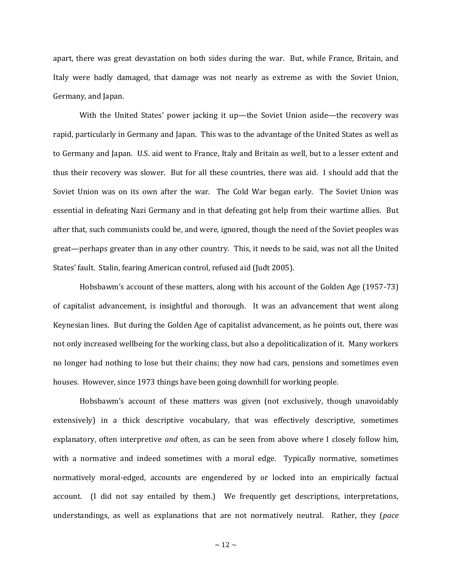apart, there was great devastation on both sides during the war. But, while France, Britain, and Italy were badly damaged, that damage was not nearly as extreme as with the Soviet Union, Germany, and Japan.

With the United States' power jacking it up—the Soviet Union aside—the recovery was rapid, particularly in Germany and Japan. This was to the advantage of the United States as well as to Germany and Japan. U.S. aid went to France, Italy and Britain as well, but to a lesser extent and thus their recovery was slower. But for all these countries, there was aid. I should add that the Soviet Union was on its own after the war. The Cold War began early. The Soviet Union was essential in defeating Nazi Germany and in that defeating got help from their wartime allies. But after that, such communists could be, and were, ignored, though the need of the Soviet peoples was great—perhaps greater than in any other country. This, it needs to be said, was not all the United States' fault. Stalin, fearing American control, refused aid (Judt 2005).

Hobsbawm's account of these matters, along with his account of the Golden Age (1957-73) of capitalist advancement, is insightful and thorough. It was an advancement that went along Keynesian lines. But during the Golden Age of capitalist advancement, as he points out, there was not only increased wellbeing for the working class, but also a depoliticalization of it. Many workers no longer had nothing to lose but their chains; they now had cars, pensions and sometimes even houses. However, since 1973 things have been going downhill for working people.

Hobsbawm's account of these matters was given (not exclusively, though unavoidably extensively) in a thick descriptive vocabulary, that was effectively descriptive, sometimes explanatory, often interpretive *and* often, as can be seen from above where I closely follow him, with a normative and indeed sometimes with a moral edge. Typically normative, sometimes normatively moral-edged, accounts are engendered by or locked into an empirically factual account. (I did not say entailed by them.) We frequently get descriptions, interpretations, understandings, as well as explanations that are not normatively neutral. Rather, they (*pace*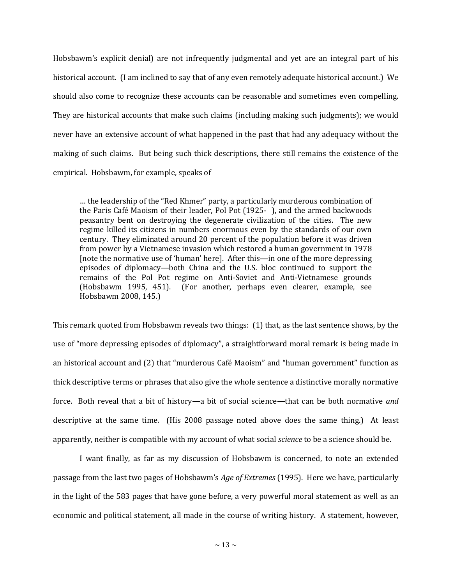Hobsbawm's explicit denial) are not infrequently judgmental and yet are an integral part of his historical account. (I am inclined to say that of any even remotely adequate historical account.) We should also come to recognize these accounts can be reasonable and sometimes even compelling. They are historical accounts that make such claims (including making such judgments); we would never have an extensive account of what happened in the past that had any adequacy without the making of such claims. But being such thick descriptions, there still remains the existence of the empirical. Hobsbawm, for example, speaks of

… the leadership of the "Red Khmer" party, a particularly murderous combination of the Paris Café Maoism of their leader, Pol Pot (1925- ), and the armed backwoods peasantry bent on destroying the degenerate civilization of the cities. The new regime killed its citizens in numbers enormous even by the standards of our own century. They eliminated around 20 percent of the population before it was driven from power by a Vietnamese invasion which restored a human government in 1978 [note the normative use of 'human' here]. After this—in one of the more depressing episodes of diplomacy—both China and the U.S. bloc continued to support the remains of the Pol Pot regime on Anti-Soviet and Anti-Vietnamese grounds (Hobsbawm 1995, 451). (For another, perhaps even clearer, example, see Hobsbawm 2008, 145.)

This remark quoted from Hobsbawm reveals two things: (1) that, as the last sentence shows, by the use of "more depressing episodes of diplomacy", a straightforward moral remark is being made in an historical account and (2) that "murderous Café Maoism" and "human government" function as thick descriptive terms or phrases that also give the whole sentence a distinctive morally normative force. Both reveal that a bit of history—a bit of social science—that can be both normative *and* descriptive at the same time. (His 2008 passage noted above does the same thing.) At least apparently, neither is compatible with my account of what social *science* to be a science should be.

I want finally, as far as my discussion of Hobsbawm is concerned, to note an extended passage from the last two pages of Hobsbawm's *Age of Extremes* (1995). Here we have, particularly in the light of the 583 pages that have gone before, a very powerful moral statement as well as an economic and political statement, all made in the course of writing history. A statement, however,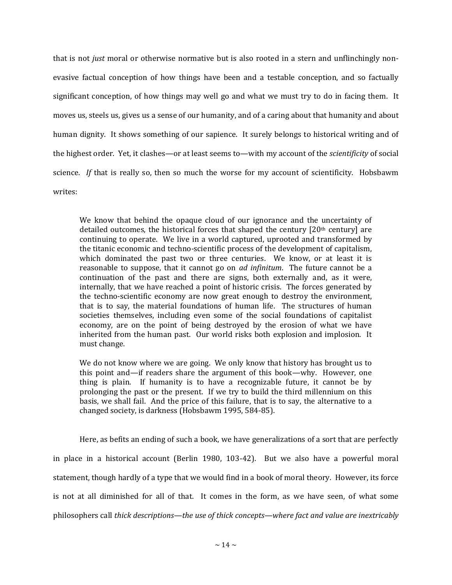that is not *just* moral or otherwise normative but is also rooted in a stern and unflinchingly nonevasive factual conception of how things have been and a testable conception, and so factually significant conception, of how things may well go and what we must try to do in facing them. It moves us, steels us, gives us a sense of our humanity, and of a caring about that humanity and about human dignity. It shows something of our sapience. It surely belongs to historical writing and of the highest order. Yet, it clashes—or at least seems to—with my account of the *scientificity* of social science. *If* that is really so, then so much the worse for my account of scientificity. Hobsbawm writes:

We know that behind the opaque cloud of our ignorance and the uncertainty of detailed outcomes, the historical forces that shaped the century  $[20<sup>th</sup>$  century] are continuing to operate. We live in a world captured, uprooted and transformed by the titanic economic and techno-scientific process of the development of capitalism, which dominated the past two or three centuries. We know, or at least it is reasonable to suppose, that it cannot go on *ad infinitum*. The future cannot be a continuation of the past and there are signs, both externally and, as it were, internally, that we have reached a point of historic crisis. The forces generated by the techno-scientific economy are now great enough to destroy the environment, that is to say, the material foundations of human life. The structures of human societies themselves, including even some of the social foundations of capitalist economy, are on the point of being destroyed by the erosion of what we have inherited from the human past. Our world risks both explosion and implosion. It must change.

We do not know where we are going. We only know that history has brought us to this point and—if readers share the argument of this book—why. However, one thing is plain. If humanity is to have a recognizable future, it cannot be by prolonging the past or the present. If we try to build the third millennium on this basis, we shall fail. And the price of this failure, that is to say, the alternative to a changed society, is darkness (Hobsbawm 1995, 584-85).

Here, as befits an ending of such a book, we have generalizations of a sort that are perfectly in place in a historical account (Berlin 1980, 103-42). But we also have a powerful moral statement, though hardly of a type that we would find in a book of moral theory. However, its force is not at all diminished for all of that. It comes in the form, as we have seen, of what some philosophers call *thick descriptions—the use of thick concepts—where fact and value are inextricably*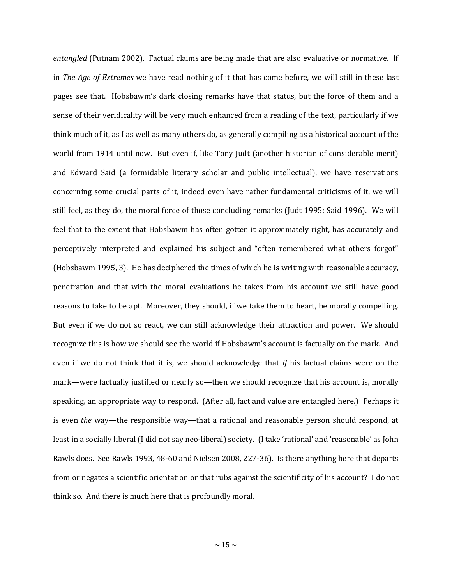*entangled* (Putnam 2002). Factual claims are being made that are also evaluative or normative. If in *The Age of Extremes* we have read nothing of it that has come before, we will still in these last pages see that. Hobsbawm's dark closing remarks have that status, but the force of them and a sense of their veridicality will be very much enhanced from a reading of the text, particularly if we think much of it, as I as well as many others do, as generally compiling as a historical account of the world from 1914 until now. But even if, like Tony Judt (another historian of considerable merit) and Edward Said (a formidable literary scholar and public intellectual), we have reservations concerning some crucial parts of it, indeed even have rather fundamental criticisms of it, we will still feel, as they do, the moral force of those concluding remarks (Judt 1995; Said 1996). We will feel that to the extent that Hobsbawm has often gotten it approximately right, has accurately and perceptively interpreted and explained his subject and "often remembered what others forgot" (Hobsbawm 1995, 3). He has deciphered the times of which he is writing with reasonable accuracy, penetration and that with the moral evaluations he takes from his account we still have good reasons to take to be apt. Moreover, they should, if we take them to heart, be morally compelling. But even if we do not so react, we can still acknowledge their attraction and power. We should recognize this is how we should see the world if Hobsbawm's account is factually on the mark. And even if we do not think that it is, we should acknowledge that *if* his factual claims were on the mark—were factually justified or nearly so—then we should recognize that his account is, morally speaking, an appropriate way to respond. (After all, fact and value are entangled here.) Perhaps it is even *the* way—the responsible way—that a rational and reasonable person should respond, at least in a socially liberal (I did not say neo-liberal) society. (I take 'rational' and 'reasonable' as John Rawls does. See Rawls 1993, 48-60 and Nielsen 2008, 227-36). Is there anything here that departs from or negates a scientific orientation or that rubs against the scientificity of his account? I do not think so. And there is much here that is profoundly moral.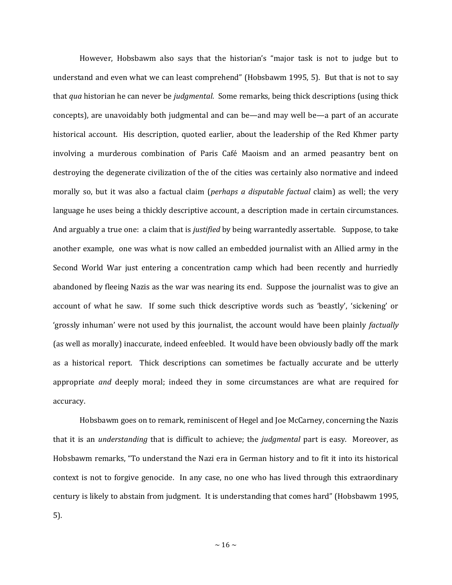However, Hobsbawm also says that the historian's "major task is not to judge but to understand and even what we can least comprehend" (Hobsbawm 1995, 5). But that is not to say that *qua* historian he can never be *judgmental*. Some remarks, being thick descriptions (using thick concepts), are unavoidably both judgmental and can be—and may well be—a part of an accurate historical account. His description, quoted earlier, about the leadership of the Red Khmer party involving a murderous combination of Paris Café Maoism and an armed peasantry bent on destroying the degenerate civilization of the of the cities was certainly also normative and indeed morally so, but it was also a factual claim (*perhaps a disputable factual* claim) as well; the very language he uses being a thickly descriptive account, a description made in certain circumstances. And arguably a true one: a claim that is *justified* by being warrantedly assertable. Suppose, to take another example, one was what is now called an embedded journalist with an Allied army in the Second World War just entering a concentration camp which had been recently and hurriedly abandoned by fleeing Nazis as the war was nearing its end. Suppose the journalist was to give an account of what he saw. If some such thick descriptive words such as 'beastly', 'sickening' or 'grossly inhuman' were not used by this journalist, the account would have been plainly *factually* (as well as morally) inaccurate, indeed enfeebled. It would have been obviously badly off the mark as a historical report. Thick descriptions can sometimes be factually accurate and be utterly appropriate *and* deeply moral; indeed they in some circumstances are what are required for accuracy.

Hobsbawm goes on to remark, reminiscent of Hegel and Joe McCarney, concerning the Nazis that it is an *understanding* that is difficult to achieve; the *judgmental* part is easy. Moreover, as Hobsbawm remarks, "To understand the Nazi era in German history and to fit it into its historical context is not to forgive genocide. In any case, no one who has lived through this extraordinary century is likely to abstain from judgment. It is understanding that comes hard" (Hobsbawm 1995, 5).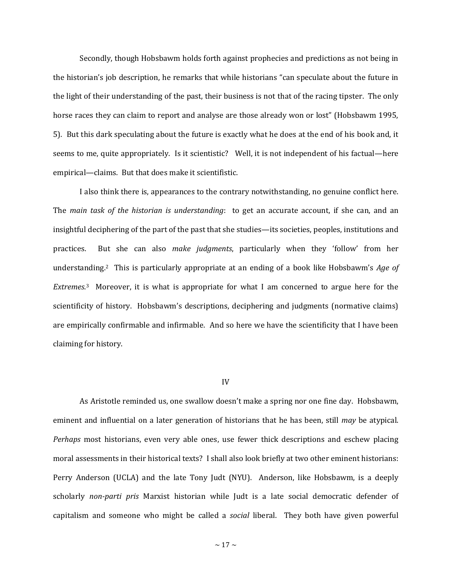Secondly, though Hobsbawm holds forth against prophecies and predictions as not being in the historian's job description, he remarks that while historians "can speculate about the future in the light of their understanding of the past, their business is not that of the racing tipster. The only horse races they can claim to report and analyse are those already won or lost" (Hobsbawm 1995, 5). But this dark speculating about the future is exactly what he does at the end of his book and, it seems to me, quite appropriately. Is it scientistic? Well, it is not independent of his factual—here empirical—claims. But that does make it scientifistic.

I also think there is, appearances to the contrary notwithstanding, no genuine conflict here. The *main task of the historian is understanding*: to get an accurate account, if she can, and an insightful deciphering of the part of the past that she studies—its societies, peoples, institutions and practices. But she can also *make judgments*, particularly when they 'follow' from her understanding.<sup>2</sup> This is particularly appropriate at an ending of a book like Hobsbawm's *Age of Extremes*. <sup>3</sup> Moreover, it is what is appropriate for what I am concerned to argue here for the scientificity of history. Hobsbawm's descriptions, deciphering and judgments (normative claims) are empirically confirmable and infirmable. And so here we have the scientificity that I have been claiming for history.

#### IV

As Aristotle reminded us, one swallow doesn't make a spring nor one fine day. Hobsbawm, eminent and influential on a later generation of historians that he has been, still *may* be atypical. *Perhaps* most historians, even very able ones, use fewer thick descriptions and eschew placing moral assessments in their historical texts? I shall also look briefly at two other eminent historians: Perry Anderson (UCLA) and the late Tony Judt (NYU). Anderson, like Hobsbawm, is a deeply scholarly *non-parti pris* Marxist historian while Judt is a late social democratic defender of capitalism and someone who might be called a *social* liberal. They both have given powerful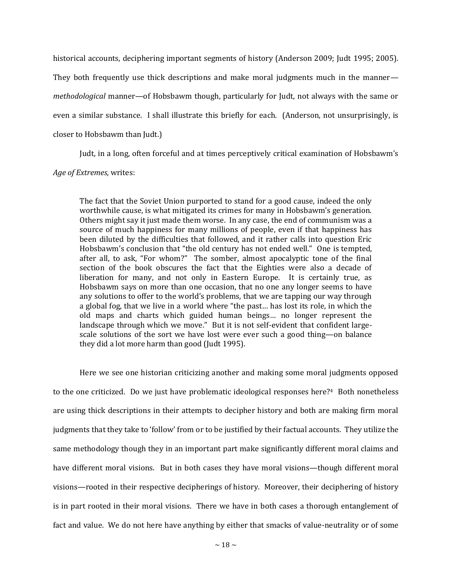historical accounts, deciphering important segments of history (Anderson 2009; Judt 1995; 2005). They both frequently use thick descriptions and make moral judgments much in the manner *methodological* manner—of Hobsbawm though, particularly for Judt, not always with the same or even a similar substance. I shall illustrate this briefly for each. (Anderson, not unsurprisingly, is closer to Hobsbawm than Judt.)

Judt, in a long, often forceful and at times perceptively critical examination of Hobsbawm's

## *Age of Extremes,* writes:

The fact that the Soviet Union purported to stand for a good cause, indeed the only worthwhile cause, is what mitigated its crimes for many in Hobsbawm's generation. Others might say it just made them worse. In any case, the end of communism was a source of much happiness for many millions of people, even if that happiness has been diluted by the difficulties that followed, and it rather calls into question Eric Hobsbawm's conclusion that "the old century has not ended well." One is tempted, after all, to ask, "For whom?" The somber, almost apocalyptic tone of the final section of the book obscures the fact that the Eighties were also a decade of liberation for many, and not only in Eastern Europe. It is certainly true, as Hobsbawm says on more than one occasion, that no one any longer seems to have any solutions to offer to the world's problems, that we are tapping our way through a global fog, that we live in a world where "the past… has lost its role, in which the old maps and charts which guided human beings… no longer represent the landscape through which we move." But it is not self-evident that confident largescale solutions of the sort we have lost were ever such a good thing—on balance they did a lot more harm than good (Judt 1995).

Here we see one historian criticizing another and making some moral judgments opposed to the one criticized. Do we just have problematic ideological responses here?4 Both nonetheless are using thick descriptions in their attempts to decipher history and both are making firm moral judgments that they take to 'follow' from or to be justified by their factual accounts. They utilize the same methodology though they in an important part make significantly different moral claims and have different moral visions. But in both cases they have moral visions—though different moral visions—rooted in their respective decipherings of history. Moreover, their deciphering of history is in part rooted in their moral visions. There we have in both cases a thorough entanglement of fact and value. We do not here have anything by either that smacks of value-neutrality or of some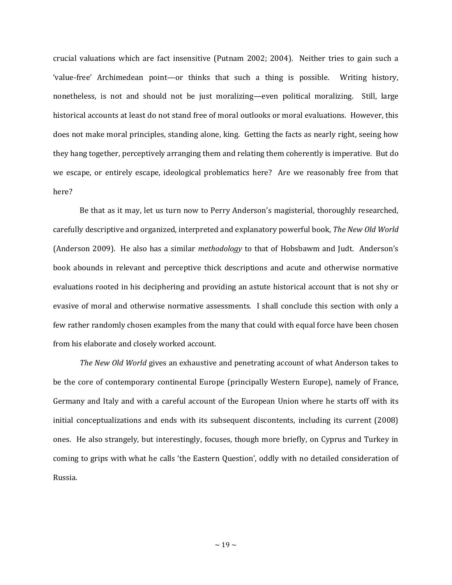crucial valuations which are fact insensitive (Putnam 2002; 2004). Neither tries to gain such a 'value-free' Archimedean point—or thinks that such a thing is possible. Writing history, nonetheless, is not and should not be just moralizing—even political moralizing. Still, large historical accounts at least do not stand free of moral outlooks or moral evaluations. However, this does not make moral principles, standing alone, king. Getting the facts as nearly right, seeing how they hang together, perceptively arranging them and relating them coherently is imperative. But do we escape, or entirely escape, ideological problematics here? Are we reasonably free from that here?

Be that as it may, let us turn now to Perry Anderson's magisterial, thoroughly researched, carefully descriptive and organized, interpreted and explanatory powerful book, *The New Old World* (Anderson 2009). He also has a similar *methodology* to that of Hobsbawm and Judt. Anderson's book abounds in relevant and perceptive thick descriptions and acute and otherwise normative evaluations rooted in his deciphering and providing an astute historical account that is not shy or evasive of moral and otherwise normative assessments. I shall conclude this section with only a few rather randomly chosen examples from the many that could with equal force have been chosen from his elaborate and closely worked account.

*The New Old World* gives an exhaustive and penetrating account of what Anderson takes to be the core of contemporary continental Europe (principally Western Europe), namely of France, Germany and Italy and with a careful account of the European Union where he starts off with its initial conceptualizations and ends with its subsequent discontents, including its current (2008) ones. He also strangely, but interestingly, focuses, though more briefly, on Cyprus and Turkey in coming to grips with what he calls 'the Eastern Question', oddly with no detailed consideration of Russia.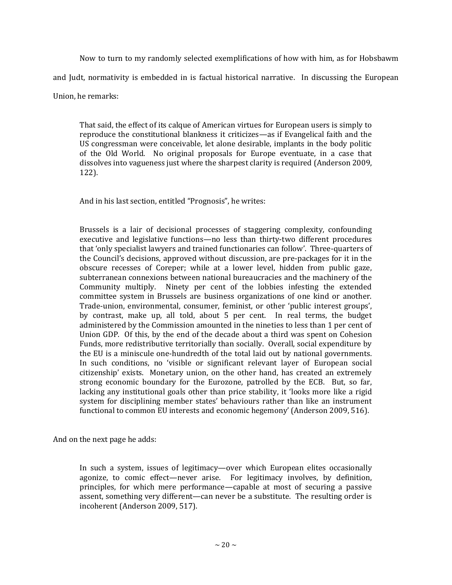Now to turn to my randomly selected exemplifications of how with him, as for Hobsbawm and Judt, normativity is embedded in is factual historical narrative. In discussing the European Union, he remarks:

That said, the effect of its calque of American virtues for European users is simply to reproduce the constitutional blankness it criticizes—as if Evangelical faith and the US congressman were conceivable, let alone desirable, implants in the body politic of the Old World. No original proposals for Europe eventuate, in a case that dissolves into vagueness just where the sharpest clarity is required (Anderson 2009, 122).

And in his last section, entitled "Prognosis", he writes:

Brussels is a lair of decisional processes of staggering complexity, confounding executive and legislative functions—no less than thirty-two different procedures that 'only specialist lawyers and trained functionaries can follow'. Three-quarters of the Council's decisions, approved without discussion, are pre-packages for it in the obscure recesses of Coreper; while at a lower level, hidden from public gaze, subterranean connexions between national bureaucracies and the machinery of the Community multiply. Ninety per cent of the lobbies infesting the extended committee system in Brussels are business organizations of one kind or another. Trade-union, environmental, consumer, feminist, or other 'public interest groups', by contrast, make up, all told, about 5 per cent. In real terms, the budget administered by the Commission amounted in the nineties to less than 1 per cent of Union GDP. Of this, by the end of the decade about a third was spent on Cohesion Funds, more redistributive territorially than socially. Overall, social expenditure by the EU is a miniscule one-hundredth of the total laid out by national governments. In such conditions, no 'visible or significant relevant layer of European social citizenship' exists. Monetary union, on the other hand, has created an extremely strong economic boundary for the Eurozone, patrolled by the ECB. But, so far, lacking any institutional goals other than price stability, it 'looks more like a rigid system for disciplining member states' behaviours rather than like an instrument functional to common EU interests and economic hegemony' (Anderson 2009, 516).

And on the next page he adds:

In such a system, issues of legitimacy—over which European elites occasionally agonize, to comic effect—never arise. For legitimacy involves, by definition, principles, for which mere performance—capable at most of securing a passive assent, something very different—can never be a substitute. The resulting order is incoherent (Anderson 2009, 517).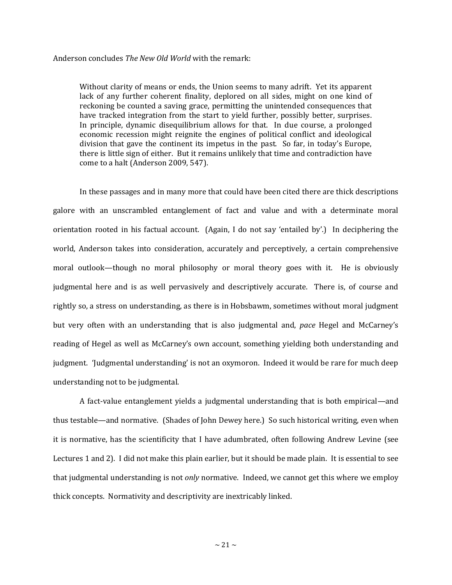#### Anderson concludes *The New Old World* with the remark:

Without clarity of means or ends, the Union seems to many adrift. Yet its apparent lack of any further coherent finality, deplored on all sides, might on one kind of reckoning be counted a saving grace, permitting the unintended consequences that have tracked integration from the start to yield further, possibly better, surprises. In principle, dynamic disequilibrium allows for that. In due course, a prolonged economic recession might reignite the engines of political conflict and ideological division that gave the continent its impetus in the past. So far, in today's Europe, there is little sign of either. But it remains unlikely that time and contradiction have come to a halt (Anderson 2009, 547).

In these passages and in many more that could have been cited there are thick descriptions galore with an unscrambled entanglement of fact and value and with a determinate moral orientation rooted in his factual account. (Again, I do not say 'entailed by'.) In deciphering the world, Anderson takes into consideration, accurately and perceptively, a certain comprehensive moral outlook—though no moral philosophy or moral theory goes with it. He is obviously judgmental here and is as well pervasively and descriptively accurate. There is, of course and rightly so, a stress on understanding, as there is in Hobsbawm, sometimes without moral judgment but very often with an understanding that is also judgmental and, *pace* Hegel and McCarney's reading of Hegel as well as McCarney's own account, something yielding both understanding and judgment. 'Judgmental understanding' is not an oxymoron. Indeed it would be rare for much deep understanding not to be judgmental.

A fact-value entanglement yields a judgmental understanding that is both empirical—and thus testable—and normative. (Shades of John Dewey here.) So such historical writing, even when it is normative, has the scientificity that I have adumbrated, often following Andrew Levine (see Lectures 1 and 2). I did not make this plain earlier, but it should be made plain. It is essential to see that judgmental understanding is not *only* normative. Indeed, we cannot get this where we employ thick concepts. Normativity and descriptivity are inextricably linked.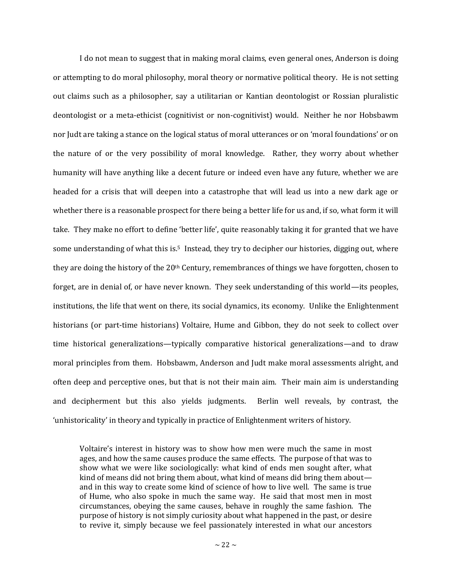I do not mean to suggest that in making moral claims, even general ones, Anderson is doing or attempting to do moral philosophy, moral theory or normative political theory. He is not setting out claims such as a philosopher, say a utilitarian or Kantian deontologist or Rossian pluralistic deontologist or a meta-ethicist (cognitivist or non-cognitivist) would. Neither he nor Hobsbawm nor Judt are taking a stance on the logical status of moral utterances or on 'moral foundations' or on the nature of or the very possibility of moral knowledge. Rather, they worry about whether humanity will have anything like a decent future or indeed even have any future, whether we are headed for a crisis that will deepen into a catastrophe that will lead us into a new dark age or whether there is a reasonable prospect for there being a better life for us and, if so, what form it will take. They make no effort to define 'better life', quite reasonably taking it for granted that we have some understanding of what this is.<sup>5</sup> Instead, they try to decipher our histories, digging out, where they are doing the history of the 20<sup>th</sup> Century, remembrances of things we have forgotten, chosen to forget, are in denial of, or have never known. They seek understanding of this world—its peoples, institutions, the life that went on there, its social dynamics, its economy. Unlike the Enlightenment historians (or part-time historians) Voltaire, Hume and Gibbon, they do not seek to collect over time historical generalizations—typically comparative historical generalizations—and to draw moral principles from them. Hobsbawm, Anderson and Judt make moral assessments alright, and often deep and perceptive ones, but that is not their main aim. Their main aim is understanding and decipherment but this also yields judgments. Berlin well reveals, by contrast, the 'unhistoricality' in theory and typically in practice of Enlightenment writers of history.

Voltaire's interest in history was to show how men were much the same in most ages, and how the same causes produce the same effects. The purpose of that was to show what we were like sociologically: what kind of ends men sought after, what kind of means did not bring them about, what kind of means did bring them about and in this way to create some kind of science of how to live well. The same is true of Hume, who also spoke in much the same way. He said that most men in most circumstances, obeying the same causes, behave in roughly the same fashion. The purpose of history is not simply curiosity about what happened in the past, or desire to revive it, simply because we feel passionately interested in what our ancestors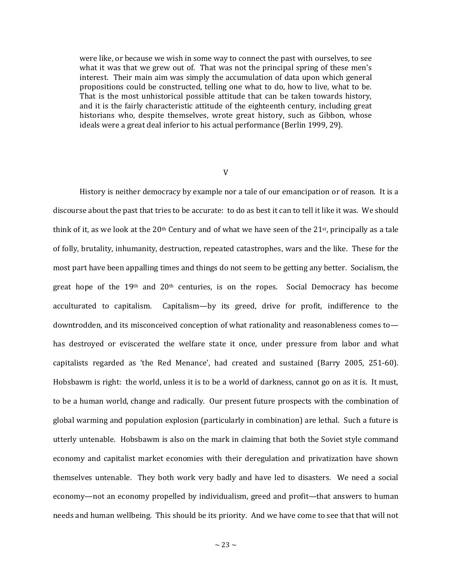were like, or because we wish in some way to connect the past with ourselves, to see what it was that we grew out of. That was not the principal spring of these men's interest. Their main aim was simply the accumulation of data upon which general propositions could be constructed, telling one what to do, how to live, what to be. That is the most unhistorical possible attitude that can be taken towards history, and it is the fairly characteristic attitude of the eighteenth century, including great historians who, despite themselves, wrote great history, such as Gibbon, whose ideals were a great deal inferior to his actual performance (Berlin 1999, 29).

V

History is neither democracy by example nor a tale of our emancipation or of reason. It is a discourse about the past that tries to be accurate: to do as best it can to tell it like it was. We should think of it, as we look at the  $20<sup>th</sup>$  Century and of what we have seen of the  $21<sup>st</sup>$ , principally as a tale of folly, brutality, inhumanity, destruction, repeated catastrophes, wars and the like. These for the most part have been appalling times and things do not seem to be getting any better. Socialism, the great hope of the 19th and 20th centuries, is on the ropes. Social Democracy has become acculturated to capitalism. Capitalism—by its greed, drive for profit, indifference to the downtrodden, and its misconceived conception of what rationality and reasonableness comes to has destroyed or eviscerated the welfare state it once, under pressure from labor and what capitalists regarded as 'the Red Menance', had created and sustained (Barry 2005, 251-60). Hobsbawm is right: the world, unless it is to be a world of darkness, cannot go on as it is. It must, to be a human world, change and radically. Our present future prospects with the combination of global warming and population explosion (particularly in combination) are lethal. Such a future is utterly untenable. Hobsbawm is also on the mark in claiming that both the Soviet style command economy and capitalist market economies with their deregulation and privatization have shown themselves untenable. They both work very badly and have led to disasters. We need a social economy—not an economy propelled by individualism, greed and profit—that answers to human needs and human wellbeing. This should be its priority. And we have come to see that that will not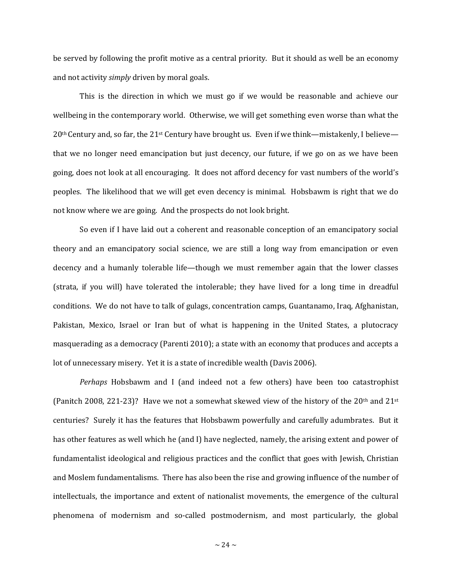be served by following the profit motive as a central priority. But it should as well be an economy and not activity *simply* driven by moral goals.

This is the direction in which we must go if we would be reasonable and achieve our wellbeing in the contemporary world. Otherwise, we will get something even worse than what the  $20<sup>th</sup>$  Century and, so far, the  $21<sup>st</sup>$  Century have brought us. Even if we think—mistakenly, I believe that we no longer need emancipation but just decency, our future, if we go on as we have been going, does not look at all encouraging. It does not afford decency for vast numbers of the world's peoples. The likelihood that we will get even decency is minimal. Hobsbawm is right that we do not know where we are going. And the prospects do not look bright.

So even if I have laid out a coherent and reasonable conception of an emancipatory social theory and an emancipatory social science, we are still a long way from emancipation or even decency and a humanly tolerable life—though we must remember again that the lower classes (strata, if you will) have tolerated the intolerable; they have lived for a long time in dreadful conditions. We do not have to talk of gulags, concentration camps, Guantanamo, Iraq, Afghanistan, Pakistan, Mexico, Israel or Iran but of what is happening in the United States, a plutocracy masquerading as a democracy (Parenti 2010); a state with an economy that produces and accepts a lot of unnecessary misery. Yet it is a state of incredible wealth (Davis 2006).

*Perhaps* Hobsbawm and I (and indeed not a few others) have been too catastrophist (Panitch 2008, 221-23)? Have we not a somewhat skewed view of the history of the 20<sup>th</sup> and 21<sup>st</sup> centuries? Surely it has the features that Hobsbawm powerfully and carefully adumbrates. But it has other features as well which he (and I) have neglected, namely, the arising extent and power of fundamentalist ideological and religious practices and the conflict that goes with Jewish, Christian and Moslem fundamentalisms. There has also been the rise and growing influence of the number of intellectuals, the importance and extent of nationalist movements, the emergence of the cultural phenomena of modernism and so-called postmodernism, and most particularly, the global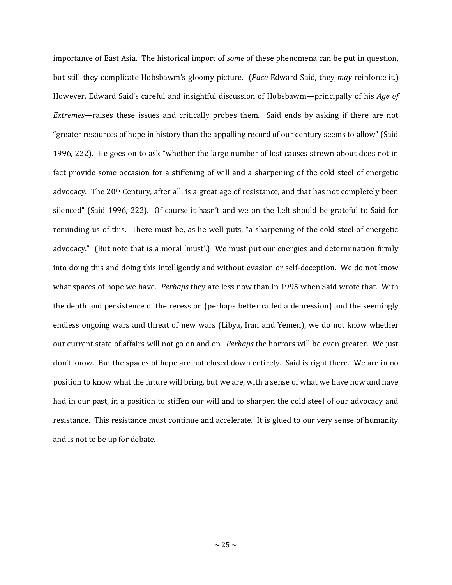importance of East Asia. The historical import of *some* of these phenomena can be put in question, but still they complicate Hobsbawm's gloomy picture. (*Pace* Edward Said, they *may* reinforce it.) However, Edward Said's careful and insightful discussion of Hobsbawm—principally of his *Age of Extremes*—raises these issues and critically probes them. Said ends by asking if there are not "greater resources of hope in history than the appalling record of our century seems to allow" (Said 1996, 222). He goes on to ask "whether the large number of lost causes strewn about does not in fact provide some occasion for a stiffening of will and a sharpening of the cold steel of energetic advocacy. The 20th Century, after all, is a great age of resistance, and that has not completely been silenced" (Said 1996, 222). Of course it hasn't and we on the Left should be grateful to Said for reminding us of this. There must be, as he well puts, "a sharpening of the cold steel of energetic advocacy." (But note that is a moral 'must'.) We must put our energies and determination firmly into doing this and doing this intelligently and without evasion or self-deception. We do not know what spaces of hope we have. *Perhaps* they are less now than in 1995 when Said wrote that. With the depth and persistence of the recession (perhaps better called a depression) and the seemingly endless ongoing wars and threat of new wars (Libya, Iran and Yemen), we do not know whether our current state of affairs will not go on and on. *Perhaps* the horrors will be even greater. We just don't know. But the spaces of hope are not closed down entirely. Said is right there. We are in no position to know what the future will bring, but we are, with a sense of what we have now and have had in our past, in a position to stiffen our will and to sharpen the cold steel of our advocacy and resistance. This resistance must continue and accelerate. It is glued to our very sense of humanity and is not to be up for debate.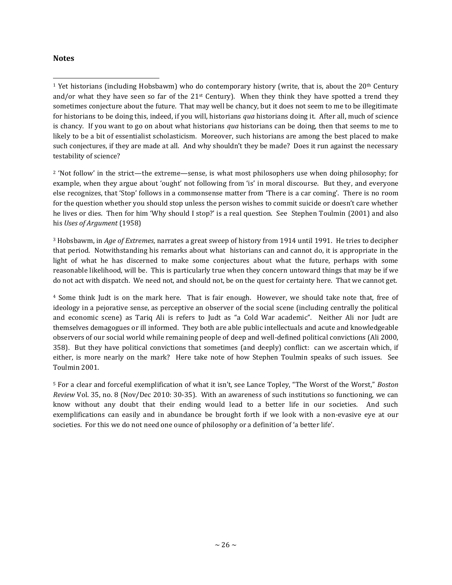## **Notes**

l

<sup>2</sup> 'Not follow' in the strict—the extreme—sense, is what most philosophers use when doing philosophy; for example, when they argue about 'ought' not following from 'is' in moral discourse. But they, and everyone else recognizes, that 'Stop' follows in a commonsense matter from 'There is a car coming'. There is no room for the question whether you should stop unless the person wishes to commit suicide or doesn't care whether he lives or dies. Then for him 'Why should I stop?' is a real question. See Stephen Toulmin (2001) and also his *Uses of Argument* (1958)

<sup>3</sup> Hobsbawm, in *Age of Extremes*, narrates a great sweep of history from 1914 until 1991. He tries to decipher that period. Notwithstanding his remarks about what historians can and cannot do, it is appropriate in the light of what he has discerned to make some conjectures about what the future, perhaps with some reasonable likelihood, will be. This is particularly true when they concern untoward things that may be if we do not act with dispatch. We need not, and should not, be on the quest for certainty here. That we cannot get.

<sup>4</sup> Some think Judt is on the mark here. That is fair enough. However, we should take note that, free of ideology in a pejorative sense, as perceptive an observer of the social scene (including centrally the political and economic scene) as Tariq Ali is refers to Judt as "a Cold War academic". Neither Ali nor Judt are themselves demagogues or ill informed. They both are able public intellectuals and acute and knowledgeable observers of our social world while remaining people of deep and well-defined political convictions (Ali 2000, 358). But they have political convictions that sometimes (and deeply) conflict: can we ascertain which, if either, is more nearly on the mark? Here take note of how Stephen Toulmin speaks of such issues. See Toulmin 2001.

<sup>5</sup> For a clear and forceful exemplification of what it isn't, see Lance Topley, "The Worst of the Worst," *Boston Review* Vol. 35, no. 8 (Nov/Dec 2010: 30-35). With an awareness of such institutions so functioning, we can know without any doubt that their ending would lead to a better life in our societies. And such exemplifications can easily and in abundance be brought forth if we look with a non-evasive eye at our societies. For this we do not need one ounce of philosophy or a definition of 'a better life'.

<sup>&</sup>lt;sup>1</sup> Yet historians (including Hobsbawm) who do contemporary history (write, that is, about the 20<sup>th</sup> Century and/or what they have seen so far of the 21<sup>st</sup> Century). When they think they have spotted a trend they sometimes conjecture about the future. That may well be chancy, but it does not seem to me to be illegitimate for historians to be doing this, indeed, if you will, historians *qua* historians doing it. After all, much of science is chancy. If you want to go on about what historians *qua* historians can be doing, then that seems to me to likely to be a bit of essentialist scholasticism. Moreover, such historians are among the best placed to make such conjectures, if they are made at all. And why shouldn't they be made? Does it run against the necessary testability of science?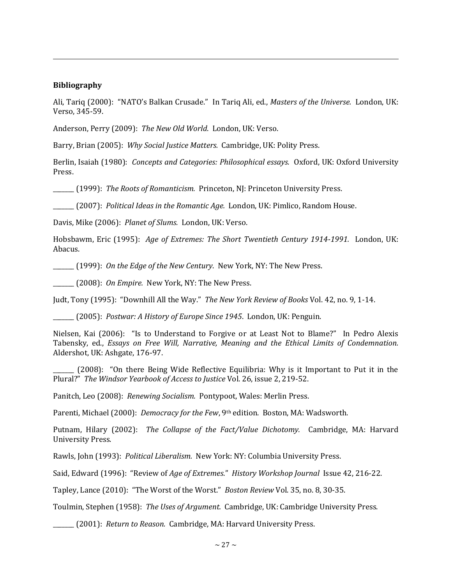## **Bibliography**

l

Ali, Tariq (2000): "NATO's Balkan Crusade." In Tariq Ali, ed., *Masters of the Universe.* London, UK: Verso, 345-59.

Anderson, Perry (2009): *The New Old World*. London, UK: Verso.

Barry, Brian (2005): *Why Social Justice Matters.* Cambridge, UK: Polity Press.

Berlin, Isaiah (1980): *Concepts and Categories: Philosophical essays.* Oxford, UK: Oxford University Press.

\_\_\_\_\_\_\_ (1999): *The Roots of Romanticism.* Princeton, NJ: Princeton University Press.

\_\_\_\_\_\_\_ (2007): *Political Ideas in the Romantic Age.* London, UK: Pimlico, Random House.

Davis, Mike (2006): *Planet of Slums.* London, UK: Verso.

Hobsbawm, Eric (1995): *Age of Extremes: The Short Twentieth Century 1914-1991.* London, UK: Abacus.

\_\_\_\_\_\_\_ (1999): *On the Edge of the New Century*. New York, NY: The New Press.

\_\_\_\_\_\_\_ (2008): *On Empire.* New York, NY: The New Press.

Judt, Tony (1995): "Downhill All the Way." *The New York Review of Books* Vol. 42, no. 9, 1-14.

\_\_\_\_\_\_\_ (2005): *Postwar: A History of Europe Since 1945*. London, UK: Penguin.

Nielsen, Kai (2006): "Is to Understand to Forgive or at Least Not to Blame?" In Pedro Alexis Tabensky, ed., *Essays on Free Will, Narrative, Meaning and the Ethical Limits of Condemnation.* Aldershot, UK: Ashgate, 176-97.

(2008): "On there Being Wide Reflective Equilibria: Why is it Important to Put it in the Plural?" *The Windsor Yearbook of Access to Justice* Vol. 26, issue 2, 219-52.

Panitch, Leo (2008): *Renewing Socialism.* Pontypoot, Wales: Merlin Press.

Parenti, Michael (2000): *Democracy for the Few*, 9th edition. Boston, MA: Wadsworth.

Putnam, Hilary (2002): *The Collapse of the Fact/Value Dichotomy.* Cambridge, MA: Harvard University Press.

Rawls, John (1993): *Political Liberalism.* New York: NY: Columbia University Press.

Said, Edward (1996): "Review of *Age of Extremes*." *History Workshop Journal* Issue 42, 216-22.

Tapley, Lance (2010): "The Worst of the Worst." *Boston Review* Vol. 35, no. 8, 30-35.

Toulmin, Stephen (1958): *The Uses of Argument.* Cambridge, UK: Cambridge University Press.

\_\_\_\_\_\_\_ (2001): *Return to Reason.* Cambridge, MA: Harvard University Press.